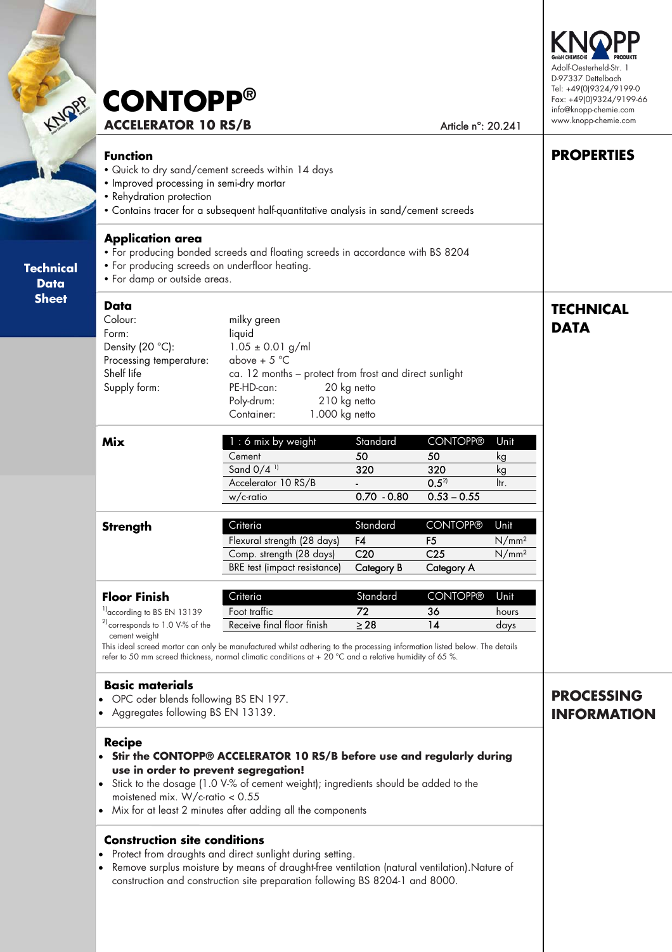| MORP                            | <b>CONTOPP®</b><br><b>ACCELERATOR 10 RS/B</b>                                                                                                                                                                                                                                                                                 |                                                                                                                                                                                                                                                                                                |                                                        | Article n°: 20.241                                         |                                                | Adolf-Oesterheld-Str. 1<br>D-97337 Dettelbach<br>Tel: +49(0)9324/9199-0<br>Fax: +49(0)9324/9199-66<br>info@knopp-chemie.com<br>www.knopp-chemie.com<br><b>PROPERTIES</b><br><b>TECHNICAL</b><br><b>DATA</b><br><b>PROCESSING</b><br><b>INFORMATION</b> |  |  |
|---------------------------------|-------------------------------------------------------------------------------------------------------------------------------------------------------------------------------------------------------------------------------------------------------------------------------------------------------------------------------|------------------------------------------------------------------------------------------------------------------------------------------------------------------------------------------------------------------------------------------------------------------------------------------------|--------------------------------------------------------|------------------------------------------------------------|------------------------------------------------|--------------------------------------------------------------------------------------------------------------------------------------------------------------------------------------------------------------------------------------------------------|--|--|
|                                 | <b>Function</b><br>. Quick to dry sand/cement screeds within 14 days<br>· Improved processing in semi-dry mortar<br>• Rehydration protection<br>• Contains tracer for a subsequent half-quantitative analysis in sand/cement screeds                                                                                          |                                                                                                                                                                                                                                                                                                |                                                        |                                                            |                                                |                                                                                                                                                                                                                                                        |  |  |
| <b>Technical</b><br><b>Data</b> | <b>Application area</b><br>• For producing bonded screeds and floating screeds in accordance with BS 8204<br>• For producing screeds on underfloor heating.<br>• For damp or outside areas.                                                                                                                                   |                                                                                                                                                                                                                                                                                                |                                                        |                                                            |                                                |                                                                                                                                                                                                                                                        |  |  |
| <b>Sheet</b>                    | Data<br>Colour:<br>Form:<br>Density $(20 °C)$ :<br>Processing temperature:<br>Shelf life<br>Supply form:                                                                                                                                                                                                                      | milky green<br>liquid<br>$1.05 \pm 0.01$ g/ml<br>above + $5^{\circ}$ C<br>ca. 12 months - protect from frost and direct sunlight<br>PE-HD-can:<br>20 kg netto<br>Poly-drum:<br>210 kg netto<br>Container:<br>1.000 kg netto                                                                    |                                                        |                                                            |                                                |                                                                                                                                                                                                                                                        |  |  |
|                                 | <b>Mix</b>                                                                                                                                                                                                                                                                                                                    | 1 : 6 mix by weight<br>Cement<br>Sand $0/4$ <sup>1)</sup><br>Accelerator 10 RS/B<br>$w/c$ -ratio                                                                                                                                                                                               | Standard<br>50<br>320<br>$0.70 - 0.80$                 | <b>CONTOPP®</b><br>50<br>320<br>$0.5^{2}$<br>$0.53 - 0.55$ | Unit<br>kg<br>kg<br>ltr.                       |                                                                                                                                                                                                                                                        |  |  |
|                                 | <b>Strenath</b>                                                                                                                                                                                                                                                                                                               | Criteria<br>Flexural strength (28 days)<br>Comp. strength (28 days)<br><b>BRE</b> test (impact resistance)                                                                                                                                                                                     | Standard<br>F4<br>C <sub>20</sub><br><b>Category B</b> | <b>CONTOPP®</b><br>F5<br>C <sub>25</sub><br>Category A     | Unit<br>N/mm <sup>2</sup><br>N/mm <sup>2</sup> |                                                                                                                                                                                                                                                        |  |  |
|                                 | <b>Floor Finish</b><br><sup>1)</sup> according to BS EN 13139<br><sup>2</sup> corresponds to 1.0 V-% of the<br>cement weight                                                                                                                                                                                                  | Criteria<br>Foot traffic<br>Receive final floor finish<br>This ideal screed mortar can only be manufactured whilst adhering to the processing information listed below. The details<br>refer to 50 mm screed thickness, normal climatic conditions at + 20 °C and a relative humidity of 65 %. | Standard<br>72<br>$\geq$ 28                            | <b>CONTOPP®</b><br>36<br>14                                | Unit<br>hours<br>days                          |                                                                                                                                                                                                                                                        |  |  |
|                                 | <b>Basic materials</b><br>• OPC oder blends following BS EN 197.<br>• Aggregates following BS EN 13139.                                                                                                                                                                                                                       |                                                                                                                                                                                                                                                                                                |                                                        |                                                            |                                                |                                                                                                                                                                                                                                                        |  |  |
|                                 | <b>Recipe</b><br>• Stir the CONTOPP® ACCELERATOR 10 RS/B before use and regularly during<br>use in order to prevent segregation!<br>• Stick to the dosage (1.0 V-% of cement weight); ingredients should be added to the<br>moistened mix. W/c-ratio $< 0.55$<br>• Mix for at least 2 minutes after adding all the components |                                                                                                                                                                                                                                                                                                |                                                        |                                                            |                                                |                                                                                                                                                                                                                                                        |  |  |
|                                 | <b>Construction site conditions</b><br>Protect from draughts and direct sunlight during setting.<br>Remove surplus moisture by means of draught-free ventilation (natural ventilation). Nature of<br>construction and construction site preparation following BS 8204-1 and 8000.                                             |                                                                                                                                                                                                                                                                                                |                                                        |                                                            |                                                |                                                                                                                                                                                                                                                        |  |  |